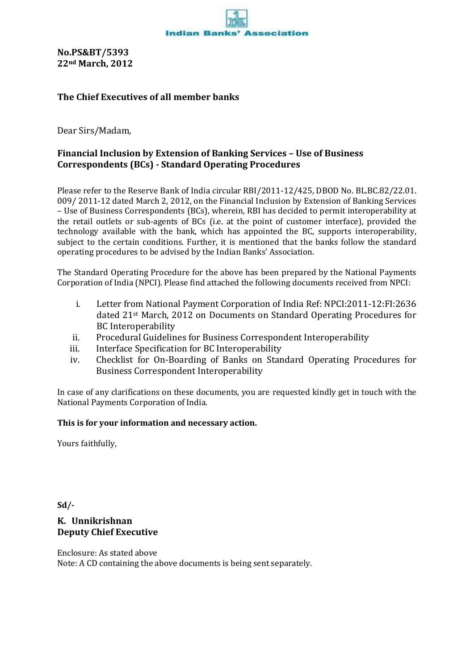**No.PS&BT/5393 22nd March, 2012**

## **The Chief Executives of all member banks**

Dear Sirs/Madam,

## **Financial Inclusion by Extension of Banking Services – Use of Business Correspondents (BCs) - Standard Operating Procedures**

Please refer to the Reserve Bank of India circular RBI/2011-12/425, DBOD No. BL.BC.82/22.01. 009/ 2011-12 dated March 2, 2012, on the Financial Inclusion by Extension of Banking Services – Use of Business Correspondents (BCs), wherein, RBI has decided to permit interoperability at the retail outlets or sub-agents of BCs (i.e. at the point of customer interface), provided the technology available with the bank, which has appointed the BC, supports interoperability, subject to the certain conditions. Further, it is mentioned that the banks follow the standard operating procedures to be advised by the Indian Banks' Association.

The Standard Operating Procedure for the above has been prepared by the National Payments Corporation of India (NPCI). Please find attached the following documents received from NPCI:

- i. Letter from National Payment Corporation of India Ref: NPCI:2011-12:FI:2636 dated 21st March, 2012 on Documents on Standard Operating Procedures for BC Interoperability
- ii. Procedural Guidelines for Business Correspondent Interoperability
- iii. Interface Specification for BC Interoperability
- iv. Checklist for On-Boarding of Banks on Standard Operating Procedures for Business Correspondent Interoperability

In case of any clarifications on these documents, you are requested kindly get in touch with the National Payments Corporation of India.

## **This is for your information and necessary action.**

Yours faithfully,

**Sd/-**

## **K. Unnikrishnan Deputy Chief Executive**

Enclosure: As stated above Note: A CD containing the above documents is being sent separately.